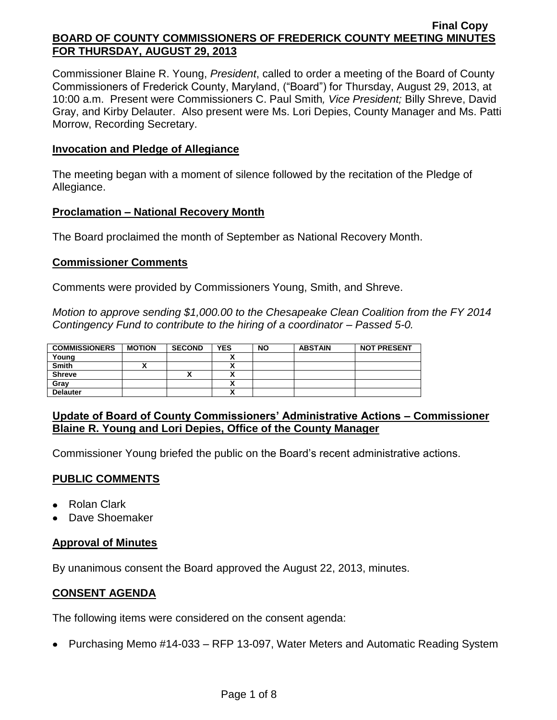Commissioner Blaine R. Young, *President*, called to order a meeting of the Board of County Commissioners of Frederick County, Maryland, ("Board") for Thursday, August 29, 2013, at 10:00 a.m. Present were Commissioners C. Paul Smith*, Vice President;* Billy Shreve, David Gray, and Kirby Delauter. Also present were Ms. Lori Depies, County Manager and Ms. Patti Morrow, Recording Secretary.

#### **Invocation and Pledge of Allegiance**

The meeting began with a moment of silence followed by the recitation of the Pledge of Allegiance.

#### **Proclamation – National Recovery Month**

The Board proclaimed the month of September as National Recovery Month.

### **Commissioner Comments**

Comments were provided by Commissioners Young, Smith, and Shreve.

*Motion to approve sending \$1,000.00 to the Chesapeake Clean Coalition from the FY 2014 Contingency Fund to contribute to the hiring of a coordinator – Passed 5-0.*

| <b>COMMISSIONERS</b> | <b>MOTION</b> | <b>SECOND</b> | <b>YES</b> | <b>NO</b> | <b>ABSTAIN</b> | <b>NOT PRESENT</b> |
|----------------------|---------------|---------------|------------|-----------|----------------|--------------------|
| Young                |               |               |            |           |                |                    |
| <b>Smith</b>         |               |               | Λ          |           |                |                    |
| <b>Shreve</b>        |               | "             |            |           |                |                    |
| Gray                 |               |               |            |           |                |                    |
| <b>Delauter</b>      |               |               |            |           |                |                    |

### **Update of Board of County Commissioners' Administrative Actions – Commissioner Blaine R. Young and Lori Depies, Office of the County Manager**

Commissioner Young briefed the public on the Board's recent administrative actions.

### **PUBLIC COMMENTS**

- Rolan Clark
- Dave Shoemaker

### **Approval of Minutes**

By unanimous consent the Board approved the August 22, 2013, minutes.

### **CONSENT AGENDA**

The following items were considered on the consent agenda:

• Purchasing Memo #14-033 – RFP 13-097, Water Meters and Automatic Reading System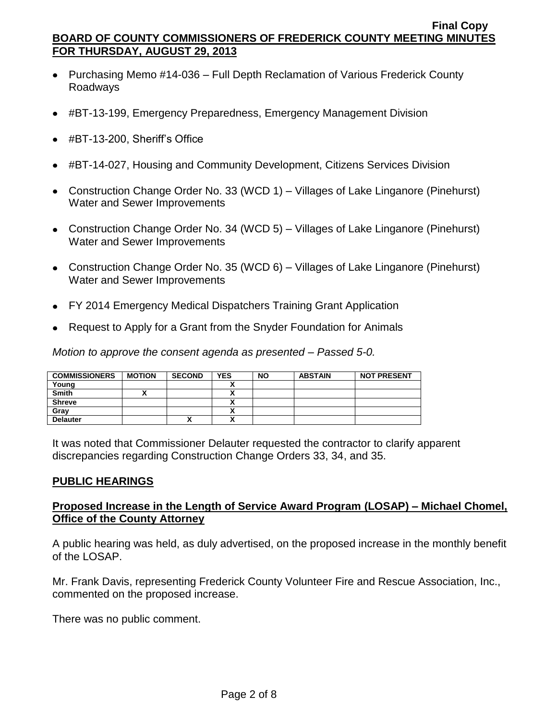- Purchasing Memo #14-036 Full Depth Reclamation of Various Frederick County Roadways
- #BT-13-199, Emergency Preparedness, Emergency Management Division
- #BT-13-200, Sheriff's Office
- #BT-14-027, Housing and Community Development, Citizens Services Division
- Construction Change Order No. 33 (WCD 1) Villages of Lake Linganore (Pinehurst) Water and Sewer Improvements
- Construction Change Order No. 34 (WCD 5) Villages of Lake Linganore (Pinehurst) Water and Sewer Improvements
- Construction Change Order No. 35 (WCD 6) Villages of Lake Linganore (Pinehurst) Water and Sewer Improvements
- FY 2014 Emergency Medical Dispatchers Training Grant Application
- Request to Apply for a Grant from the Snyder Foundation for Animals

*Motion to approve the consent agenda as presented – Passed 5-0.*

| <b>COMMISSIONERS</b> | <b>MOTION</b> | <b>SECOND</b> | <b>YES</b>                | <b>NO</b> | <b>ABSTAIN</b> | <b>NOT PRESENT</b> |
|----------------------|---------------|---------------|---------------------------|-----------|----------------|--------------------|
| Young                |               |               | ^                         |           |                |                    |
| <b>Smith</b>         |               |               | ^                         |           |                |                    |
| <b>Shreve</b>        |               |               |                           |           |                |                    |
| Grav                 |               |               |                           |           |                |                    |
| <b>Delauter</b>      |               |               | $\ddot{\phantom{a}}$<br>Λ |           |                |                    |

It was noted that Commissioner Delauter requested the contractor to clarify apparent discrepancies regarding Construction Change Orders 33, 34, and 35.

### **PUBLIC HEARINGS**

### **Proposed Increase in the Length of Service Award Program (LOSAP) – Michael Chomel, Office of the County Attorney**

A public hearing was held, as duly advertised, on the proposed increase in the monthly benefit of the LOSAP.

Mr. Frank Davis, representing Frederick County Volunteer Fire and Rescue Association, Inc., commented on the proposed increase.

There was no public comment.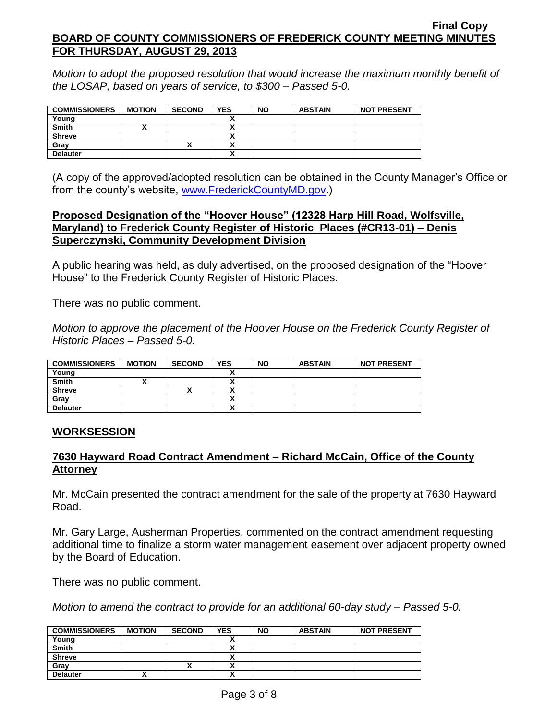*Motion to adopt the proposed resolution that would increase the maximum monthly benefit of the LOSAP, based on years of service, to \$300 – Passed 5-0.*

| <b>COMMISSIONERS</b> | <b>MOTION</b> | <b>SECOND</b> | <b>YES</b> | <b>NO</b> | <b>ABSTAIN</b> | <b>NOT PRESENT</b> |
|----------------------|---------------|---------------|------------|-----------|----------------|--------------------|
| Young                |               |               |            |           |                |                    |
| <b>Smith</b>         |               |               | ~          |           |                |                    |
| <b>Shreve</b>        |               |               | Δ          |           |                |                    |
| Gray                 |               |               | ~          |           |                |                    |
| <b>Delauter</b>      |               |               | ↗          |           |                |                    |

(A copy of the approved/adopted resolution can be obtained in the County Manager's Office or from the county's website, [www.FrederickCountyMD.gov.](http://www.frederickcountymd.gov/))

### **Proposed Designation of the "Hoover House" (12328 Harp Hill Road, Wolfsville, Maryland) to Frederick County Register of Historic Places (#CR13-01) – Denis Superczynski, Community Development Division**

A public hearing was held, as duly advertised, on the proposed designation of the "Hoover House" to the Frederick County Register of Historic Places.

There was no public comment.

*Motion to approve the placement of the Hoover House on the Frederick County Register of Historic Places – Passed 5-0.*

| <b>COMMISSIONERS</b> | <b>MOTION</b> | <b>SECOND</b>            | <b>YES</b>               | <b>NO</b> | <b>ABSTAIN</b> | <b>NOT PRESENT</b> |
|----------------------|---------------|--------------------------|--------------------------|-----------|----------------|--------------------|
| Young                |               |                          |                          |           |                |                    |
| <b>Smith</b>         |               |                          |                          |           |                |                    |
| <b>Shreve</b>        |               | $\overline{\phantom{a}}$ | $\overline{\phantom{a}}$ |           |                |                    |
| Grav                 |               |                          | $\overline{\phantom{a}}$ |           |                |                    |
| <b>Delauter</b>      |               |                          | $\mathbf{v}$             |           |                |                    |

### **WORKSESSION**

## **7630 Hayward Road Contract Amendment – Richard McCain, Office of the County Attorney**

Mr. McCain presented the contract amendment for the sale of the property at 7630 Hayward Road.

Mr. Gary Large, Ausherman Properties, commented on the contract amendment requesting additional time to finalize a storm water management easement over adjacent property owned by the Board of Education.

There was no public comment.

*Motion to amend the contract to provide for an additional 60-day study – Passed 5-0.*

| <b>COMMISSIONERS</b> | <b>MOTION</b> | <b>SECOND</b> | <b>YES</b>               | <b>NO</b> | <b>ABSTAIN</b> | <b>NOT PRESENT</b> |
|----------------------|---------------|---------------|--------------------------|-----------|----------------|--------------------|
| Young                |               |               |                          |           |                |                    |
| <b>Smith</b>         |               |               |                          |           |                |                    |
| <b>Shreve</b>        |               |               |                          |           |                |                    |
| Gray                 |               | ^             | $\overline{\phantom{a}}$ |           |                |                    |
| <b>Delauter</b>      |               |               | $\cdot$                  |           |                |                    |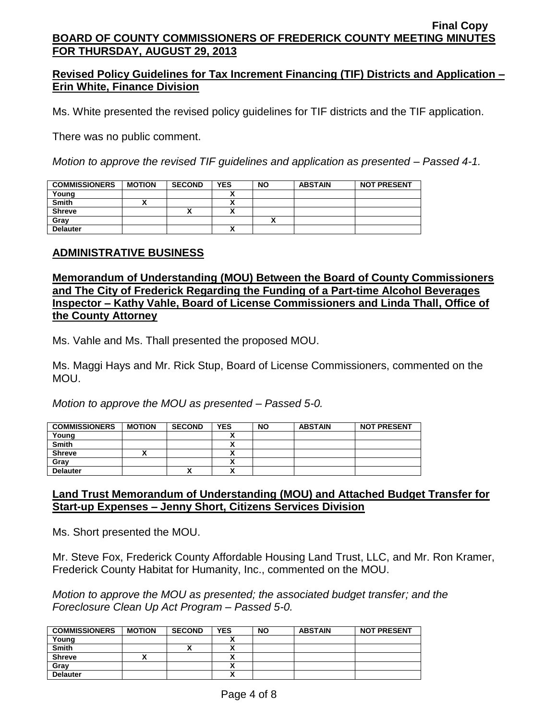## **Revised Policy Guidelines for Tax Increment Financing (TIF) Districts and Application – Erin White, Finance Division**

Ms. White presented the revised policy guidelines for TIF districts and the TIF application.

There was no public comment.

*Motion to approve the revised TIF guidelines and application as presented – Passed 4-1.*

| <b>COMMISSIONERS</b> | <b>MOTION</b> | <b>SECOND</b> | <b>YES</b> | <b>NO</b> | <b>ABSTAIN</b> | <b>NOT PRESENT</b> |
|----------------------|---------------|---------------|------------|-----------|----------------|--------------------|
| Young                |               |               |            |           |                |                    |
| <b>Smith</b>         |               |               |            |           |                |                    |
| <b>Shreve</b>        |               |               |            |           |                |                    |
| Gray                 |               |               |            |           |                |                    |
| <b>Delauter</b>      |               |               |            |           |                |                    |

### **ADMINISTRATIVE BUSINESS**

### **Memorandum of Understanding (MOU) Between the Board of County Commissioners and The City of Frederick Regarding the Funding of a Part-time Alcohol Beverages Inspector – Kathy Vahle, Board of License Commissioners and Linda Thall, Office of the County Attorney**

Ms. Vahle and Ms. Thall presented the proposed MOU.

Ms. Maggi Hays and Mr. Rick Stup, Board of License Commissioners, commented on the MOU.

*Motion to approve the MOU as presented – Passed 5-0.*

| <b>COMMISSIONERS</b> | <b>MOTION</b> | <b>SECOND</b> | <b>YES</b> | <b>NO</b> | <b>ABSTAIN</b> | <b>NOT PRESENT</b> |
|----------------------|---------------|---------------|------------|-----------|----------------|--------------------|
| Young                |               |               |            |           |                |                    |
| <b>Smith</b>         |               |               |            |           |                |                    |
| <b>Shreve</b>        |               |               | ↗          |           |                |                    |
| Gray                 |               |               | ,,,        |           |                |                    |
| <b>Delauter</b>      |               | "             | ~          |           |                |                    |

### **Land Trust Memorandum of Understanding (MOU) and Attached Budget Transfer for Start-up Expenses – Jenny Short, Citizens Services Division**

Ms. Short presented the MOU.

Mr. Steve Fox, Frederick County Affordable Housing Land Trust, LLC, and Mr. Ron Kramer, Frederick County Habitat for Humanity, Inc., commented on the MOU.

*Motion to approve the MOU as presented; the associated budget transfer; and the Foreclosure Clean Up Act Program – Passed 5-0.*

| <b>COMMISSIONERS</b> | <b>MOTION</b> | <b>SECOND</b> | <b>YES</b>               | <b>NO</b> | <b>ABSTAIN</b> | <b>NOT PRESENT</b> |
|----------------------|---------------|---------------|--------------------------|-----------|----------------|--------------------|
| Young                |               |               |                          |           |                |                    |
| <b>Smith</b>         |               | "             |                          |           |                |                    |
| <b>Shreve</b>        |               |               | $\overline{\phantom{a}}$ |           |                |                    |
| Grav                 |               |               |                          |           |                |                    |
| <b>Delauter</b>      |               |               | $\mathbf{v}$             |           |                |                    |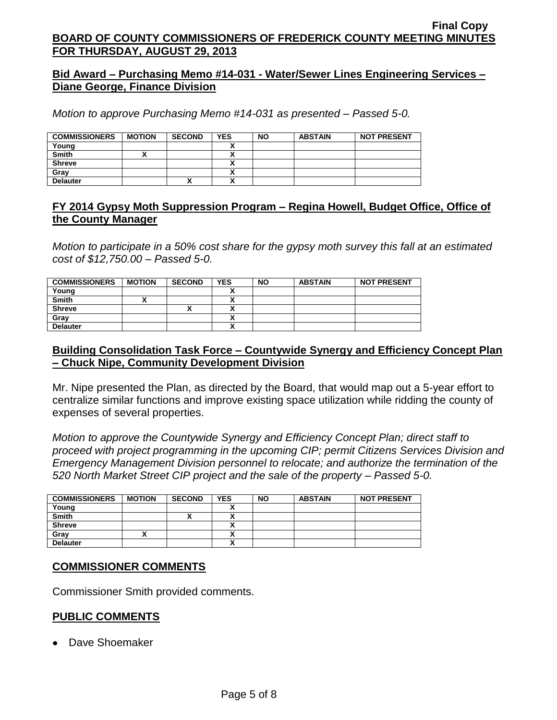### **Bid Award – Purchasing Memo #14-031 - Water/Sewer Lines Engineering Services – Diane George, Finance Division**

*Motion to approve Purchasing Memo #14-031 as presented – Passed 5-0.*

| <b>COMMISSIONERS</b> | <b>MOTION</b> | <b>SECOND</b> | <b>YES</b> | <b>NO</b> | <b>ABSTAIN</b> | <b>NOT PRESENT</b> |
|----------------------|---------------|---------------|------------|-----------|----------------|--------------------|
| Young                |               |               |            |           |                |                    |
| <b>Smith</b>         |               |               |            |           |                |                    |
| <b>Shreve</b>        |               |               |            |           |                |                    |
| Grav                 |               |               |            |           |                |                    |
| <b>Delauter</b>      |               | "             |            |           |                |                    |

## **FY 2014 Gypsy Moth Suppression Program – Regina Howell, Budget Office, Office of the County Manager**

*Motion to participate in a 50% cost share for the gypsy moth survey this fall at an estimated cost of \$12,750.00 – Passed 5-0.*

| <b>COMMISSIONERS</b> | <b>MOTION</b> | <b>SECOND</b> | <b>YES</b>               | <b>NO</b> | <b>ABSTAIN</b> | <b>NOT PRESENT</b> |
|----------------------|---------------|---------------|--------------------------|-----------|----------------|--------------------|
| Young                |               |               |                          |           |                |                    |
| <b>Smith</b>         | ,,            |               | $\overline{\phantom{a}}$ |           |                |                    |
| <b>Shreve</b>        |               | "             |                          |           |                |                    |
| Gray                 |               |               |                          |           |                |                    |
| <b>Delauter</b>      |               |               |                          |           |                |                    |

### **Building Consolidation Task Force – Countywide Synergy and Efficiency Concept Plan – Chuck Nipe, Community Development Division**

Mr. Nipe presented the Plan, as directed by the Board, that would map out a 5-year effort to centralize similar functions and improve existing space utilization while ridding the county of expenses of several properties.

*Motion to approve the Countywide Synergy and Efficiency Concept Plan; direct staff to proceed with project programming in the upcoming CIP; permit Citizens Services Division and Emergency Management Division personnel to relocate; and authorize the termination of the 520 North Market Street CIP project and the sale of the property – Passed 5-0.*

| <b>COMMISSIONERS</b> | <b>MOTION</b> | <b>SECOND</b> | YES | <b>NO</b> | <b>ABSTAIN</b> | <b>NOT PRESENT</b> |
|----------------------|---------------|---------------|-----|-----------|----------------|--------------------|
| Young                |               |               |     |           |                |                    |
| <b>Smith</b>         |               | ,,            |     |           |                |                    |
| <b>Shreve</b>        |               |               |     |           |                |                    |
| Gray                 |               |               |     |           |                |                    |
| <b>Delauter</b>      |               |               |     |           |                |                    |

### **COMMISSIONER COMMENTS**

Commissioner Smith provided comments.

# **PUBLIC COMMENTS**

Dave Shoemaker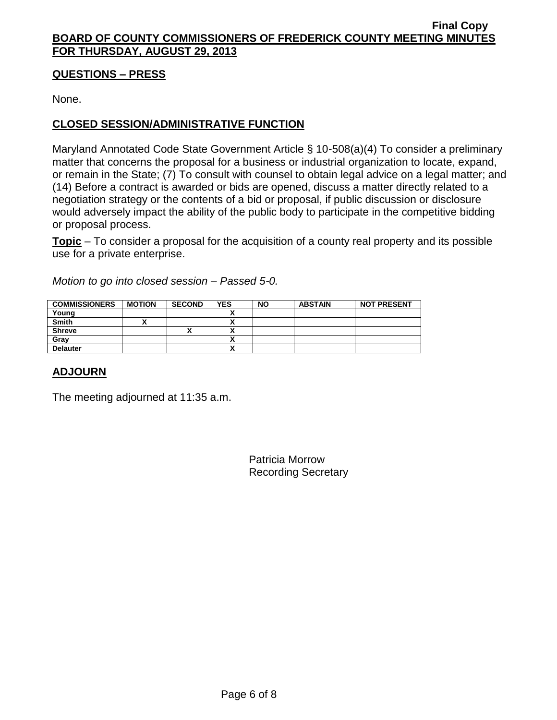### **QUESTIONS – PRESS**

None.

# **CLOSED SESSION/ADMINISTRATIVE FUNCTION**

Maryland Annotated Code State Government Article § 10-508(a)(4) To consider a preliminary matter that concerns the proposal for a business or industrial organization to locate, expand, or remain in the State; (7) To consult with counsel to obtain legal advice on a legal matter; and (14) Before a contract is awarded or bids are opened, discuss a matter directly related to a negotiation strategy or the contents of a bid or proposal, if public discussion or disclosure would adversely impact the ability of the public body to participate in the competitive bidding or proposal process.

**Topic** – To consider a proposal for the acquisition of a county real property and its possible use for a private enterprise.

*Motion to go into closed session – Passed 5-0.*

| <b>COMMISSIONERS</b> | <b>MOTION</b> | <b>SECOND</b> | <b>YES</b> | <b>NO</b> | <b>ABSTAIN</b> | <b>NOT PRESENT</b> |
|----------------------|---------------|---------------|------------|-----------|----------------|--------------------|
| Young                |               |               | ↗          |           |                |                    |
| <b>Smith</b>         |               |               |            |           |                |                    |
| <b>Shreve</b>        |               |               | <br>,,     |           |                |                    |
| Grav                 |               |               |            |           |                |                    |
| <b>Delauter</b>      |               |               | ٠.         |           |                |                    |

# **ADJOURN**

The meeting adjourned at 11:35 a.m.

Patricia Morrow Recording Secretary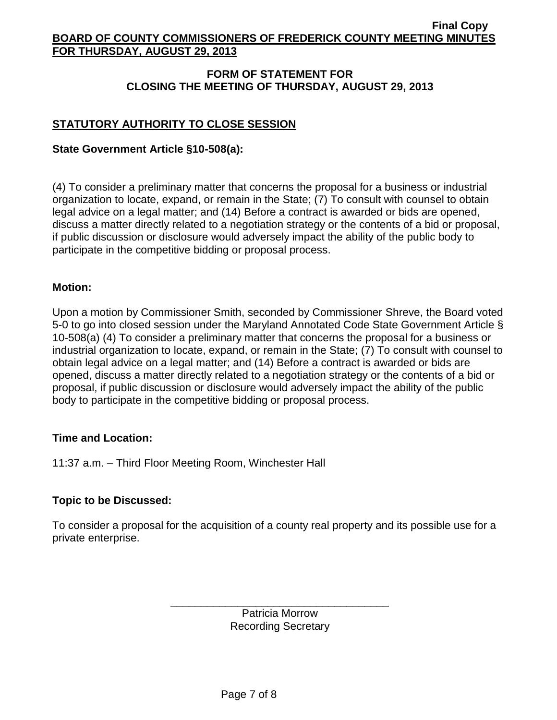## **FORM OF STATEMENT FOR CLOSING THE MEETING OF THURSDAY, AUGUST 29, 2013**

## **STATUTORY AUTHORITY TO CLOSE SESSION**

#### **State Government Article §10-508(a):**

(4) To consider a preliminary matter that concerns the proposal for a business or industrial organization to locate, expand, or remain in the State; (7) To consult with counsel to obtain legal advice on a legal matter; and (14) Before a contract is awarded or bids are opened, discuss a matter directly related to a negotiation strategy or the contents of a bid or proposal, if public discussion or disclosure would adversely impact the ability of the public body to participate in the competitive bidding or proposal process.

#### **Motion:**

Upon a motion by Commissioner Smith, seconded by Commissioner Shreve, the Board voted 5-0 to go into closed session under the Maryland Annotated Code State Government Article § 10-508(a) (4) To consider a preliminary matter that concerns the proposal for a business or industrial organization to locate, expand, or remain in the State; (7) To consult with counsel to obtain legal advice on a legal matter; and (14) Before a contract is awarded or bids are opened, discuss a matter directly related to a negotiation strategy or the contents of a bid or proposal, if public discussion or disclosure would adversely impact the ability of the public body to participate in the competitive bidding or proposal process.

#### **Time and Location:**

11:37 a.m. – Third Floor Meeting Room, Winchester Hall

### **Topic to be Discussed:**

To consider a proposal for the acquisition of a county real property and its possible use for a private enterprise.

> Patricia Morrow Recording Secretary

\_\_\_\_\_\_\_\_\_\_\_\_\_\_\_\_\_\_\_\_\_\_\_\_\_\_\_\_\_\_\_\_\_\_\_\_